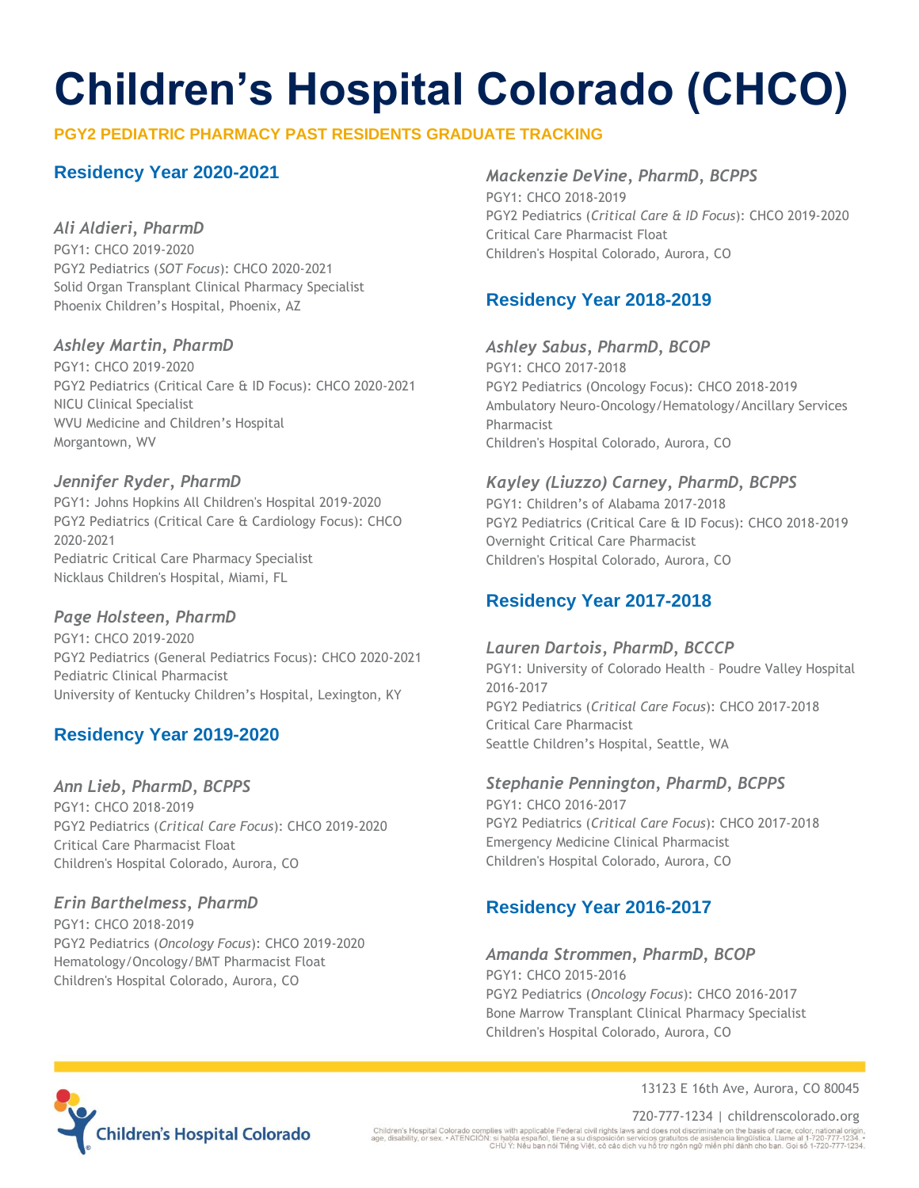# **Children's Hospital Colorado (CHCO)**

### **PGY2 PEDIATRIC PHARMACY PAST RESIDENTS GRADUATE TRACKING**

### **Residency Year 2020-2021**

### *Ali Aldieri, PharmD*

PGY1: CHCO 2019-2020 PGY2 Pediatrics (*SOT Focus*): CHCO 2020-2021 Solid Organ Transplant Clinical Pharmacy Specialist Phoenix Children's Hospital, Phoenix, AZ

### *Ashley Martin, PharmD*

PGY1: CHCO 2019-2020 PGY2 Pediatrics (Critical Care & ID Focus): CHCO 2020-2021 NICU Clinical Specialist WVU Medicine and Children's Hospital Morgantown, WV

### *Jennifer Ryder, PharmD*

PGY1: Johns Hopkins All Children's Hospital 2019-2020 PGY2 Pediatrics (Critical Care & Cardiology Focus): CHCO 2020-2021 Pediatric Critical Care Pharmacy Specialist Nicklaus Children's Hospital, Miami, FL

### *Page Holsteen, PharmD*

PGY1: CHCO 2019-2020 PGY2 Pediatrics (General Pediatrics Focus): CHCO 2020-2021 Pediatric Clinical Pharmacist University of Kentucky Children's Hospital, Lexington, KY

### **Residency Year 2019-2020**

### *Ann Lieb, PharmD, BCPPS* PGY1: CHCO 2018-2019

PGY2 Pediatrics (*Critical Care Focus*): CHCO 2019-2020 Critical Care Pharmacist Float Children's Hospital Colorado, Aurora, CO

### *Erin Barthelmess, PharmD*

PGY1: CHCO 2018-2019 PGY2 Pediatrics (*Oncology Focus*): CHCO 2019-2020 Hematology/Oncology/BMT Pharmacist Float Children's Hospital Colorado, Aurora, CO

### *Mackenzie DeVine, PharmD, BCPPS*

PGY1: CHCO 2018-2019 PGY2 Pediatrics (*Critical Care & ID Focus*): CHCO 2019-2020 Critical Care Pharmacist Float Children's Hospital Colorado, Aurora, CO

### **Residency Year 2018-2019**

*Ashley Sabus, PharmD, BCOP* PGY1: CHCO 2017-2018 PGY2 Pediatrics (Oncology Focus): CHCO 2018-2019 Ambulatory Neuro-Oncology/Hematology/Ancillary Services Pharmacist Children's Hospital Colorado, Aurora, CO

### *Kayley (Liuzzo) Carney, PharmD, BCPPS*

PGY1: Children's of Alabama 2017-2018 PGY2 Pediatrics (Critical Care & ID Focus): CHCO 2018-2019 Overnight Critical Care Pharmacist Children's Hospital Colorado, Aurora, CO

### **Residency Year 2017-2018**

### *Lauren Dartois, PharmD, BCCCP*

PGY1: University of Colorado Health – Poudre Valley Hospital 2016-2017 PGY2 Pediatrics (*Critical Care Focus*): CHCO 2017-2018 Critical Care Pharmacist Seattle Children's Hospital, Seattle, WA

### *Stephanie Pennington, PharmD, BCPPS*

PGY1: CHCO 2016-2017 PGY2 Pediatrics (*Critical Care Focus*): CHCO 2017-2018 Emergency Medicine Clinical Pharmacist Children's Hospital Colorado, Aurora, CO

### **Residency Year 2016-2017**

## *Amanda Strommen, PharmD, BCOP*

PGY1: CHCO 2015-2016 PGY2 Pediatrics (*Oncology Focus*): CHCO 2016-2017 Bone Marrow Transplant Clinical Pharmacy Specialist Children's Hospital Colorado, Aurora, CO



13123 E 16th Ave, Aurora, CO 80045

720-777-1234 | childrenscolorado.org<br>Children's Hospital Colorado complies with applicable Federal civil rights laws and does not discriminate on the basis of race, color, national origin<br>age, disability, or sex. • ATENCIO